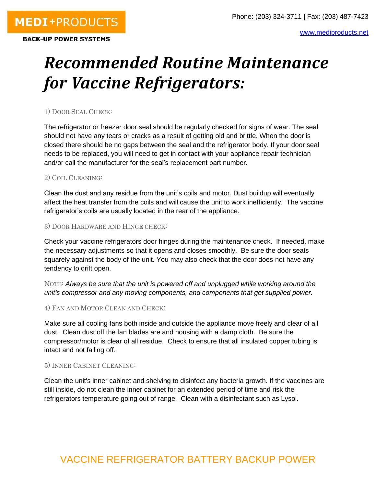# *Recommended Routine Maintenance for Vaccine Refrigerators:*

## 1) DOOR SEAL CHECK:

The refrigerator or freezer door seal should be regularly checked for signs of wear. The seal should not have any tears or cracks as a result of getting old and brittle. When the door is closed there should be no gaps between the seal and the refrigerator body. If your door seal needs to be replaced, you will need to get in contact with your appliance repair technician and/or call the manufacturer for the seal's replacement part number.

#### 2) COIL CLEANING:

Clean the dust and any residue from the unit's coils and motor. Dust buildup will eventually affect the heat transfer from the coils and will cause the unit to work inefficiently. The vaccine refrigerator's coils are usually located in the rear of the appliance.

#### 3) DOOR HARDWARE AND HINGE CHECK:

Check your vaccine refrigerators door hinges during the maintenance check. If needed, make the necessary adjustments so that it opens and closes smoothly. Be sure the door seats squarely against the body of the unit. You may also check that the door does not have any tendency to drift open.

NOTE: *Always be sure that the unit is powered off and unplugged while working around the unit's compressor and any moving components, and components that get supplied power.*

### 4) FAN AND MOTOR CLEAN AND CHECK:

Make sure all cooling fans both inside and outside the appliance move freely and clear of all dust. Clean dust off the fan blades are and housing with a damp cloth. Be sure the compressor/motor is clear of all residue. Check to ensure that all insulated copper tubing is intact and not falling off.

### 5) INNER CABINET CLEANING:

Clean the unit's inner cabinet and shelving to disinfect any bacteria growth. If the vaccines are still inside, do not clean the inner cabinet for an extended period of time and risk the refrigerators temperature going out of range. Clean with a disinfectant such as Lysol.

# VACCINE REFRIGERATOR BATTERY BACKUP POWER